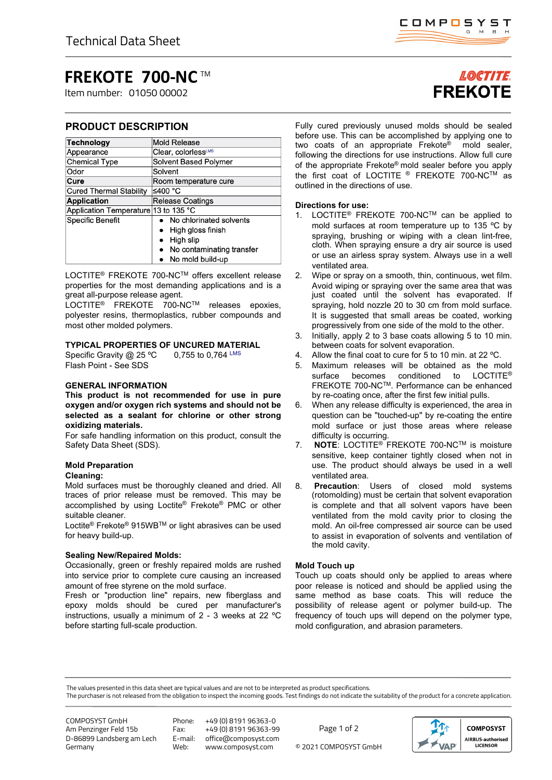# **FREKOTE 700-NC** TM

Item number: 01050 00002

# **PRODUCT DESCRIPTION**

| <b>Technology</b>                    | <b>Mold Release</b>            |
|--------------------------------------|--------------------------------|
| Appearance                           | Clear, colorlessLMS            |
| <b>Chemical Type</b>                 | <b>Solvent Based Polymer</b>   |
| Odor                                 | Solvent                        |
| Cure                                 | Room temperature cure          |
| <b>Cured Thermal Stability</b>       | ≤400 °C                        |
| <b>Application</b>                   | <b>Release Coatings</b>        |
| Application Temperature 13 to 135 °C |                                |
| Specific Benefit                     | No chlorinated solvents        |
|                                      | High gloss finish<br>$\bullet$ |
|                                      | High slip                      |
|                                      | • No contaminating transfer    |
|                                      | No mold build-up               |

LOCTITE® FREKOTE 700-NCTM offers excellent release properties for the most demanding applications and is a great all-purpose release agent.

LOCTITE® FREKOTE 700-NCTM releases epoxies, polyester resins, thermoplastics, rubber compounds and most other molded polymers.

# **TYPICAL PROPERTIES OF UNCURED MATERIAL**

Specific Gravity  $@$  25 °C 0,755 to 0,764 LMS Flash Point - See SDS

# **GENERAL INFORMATION**

**This product is not recommended for use in pure oxygen and/or oxygen rich systems and should not be selected as a sealant for chlorine or other strong oxidizing materials.**

For safe handling information on this product, consult the Safety Data Sheet (SDS).

# **Mold Preparation**

# **Cleaning:**

Mold surfaces must be thoroughly cleaned and dried. All traces of prior release must be removed. This may be accomplished by using Loctite® Frekote® PMC or other suitable cleaner.

Loctite® Frekote® 915WBTM or light abrasives can be used for heavy build-up.

# **Sealing New/Repaired Molds:**

Occasionally, green or freshly repaired molds are rushed into service prior to complete cure causing an increased amount of free styrene on the mold surface.

Fresh or "production line" repairs, new fiberglass and epoxy molds should be cured per manufacturer's instructions, usually a minimum of 2 - 3 weeks at 22 ºC before starting full-scale production.

# **LOCTITE FREKOTE**

Fully cured previously unused molds should be sealed before use. This can be accomplished by applying one to two coats of an appropriate Frekote® mold sealer, following the directions for use instructions. Allow full cure of the appropriate Frekote® mold sealer before you apply the first coat of LOCTITE ® FREKOTE 700-NCTM as outlined in the directions of use.

# **Directions for use:**

- 1. LOCTITE® FREKOTE 700-NCTM can be applied to mold surfaces at room temperature up to 135 ºC by spraying, brushing or wiping with a clean lint-free, cloth. When spraying ensure a dry air source is used or use an airless spray system. Always use in a well ventilated area.
- 2. Wipe or spray on a smooth, thin, continuous, wet film. Avoid wiping or spraying over the same area that was just coated until the solvent has evaporated. If spraying, hold nozzle 20 to 30 cm from mold surface. It is suggested that small areas be coated, working progressively from one side of the mold to the other.
- 3. Initially, apply 2 to 3 base coats allowing 5 to 10 min. between coats for solvent evaporation.
- 4. Allow the final coat to cure for 5 to 10 min. at 22 °C.
- 5. Maximum releases will be obtained as the mold surface becomes conditioned to LOCTITE<sup>®</sup> FREKOTE 700-NCTM. Performance can be enhanced by re-coating once, after the first few initial pulls.
- 6. When any release difficulty is experienced, the area in question can be "touched-up" by re-coating the entire mold surface or just those areas where release difficulty is occurring.
- 7. **NOTE**: LOCTITE® FREKOTE 700-NCTM is moisture sensitive, keep container tightly closed when not in use. The product should always be used in a well ventilated area.
- 8. **Precaution**: Users of closed mold systems (rotomolding) must be certain that solvent evaporation is complete and that all solvent vapors have been ventilated from the mold cavity prior to closing the mold. An oil-free compressed air source can be used to assist in evaporation of solvents and ventilation of the mold cavity.

# **Mold Touch up**

Touch up coats should only be applied to areas where poor release is noticed and should be applied using the same method as base coats. This will reduce the possibility of release agent or polymer build-up. The frequency of touch ups will depend on the polymer type, mold configuration, and abrasion parameters.

The values presented in this data sheet are typical values and are not to be interpreted as product specifications.

The purchaser is not released from the obligation to inspect the incoming goods. Test findings do not indicate the suitability of the product for a concrete application.

COMPOSYST GmbH Am Penzinger Feld 15b D-86899 Landsberg am Lech Germany

Phone: +49 (0) 8191 96363-0

Fax: +49 (0) 8191 96363-99 E-mail: office@composyst.com

© 2021 COMPOSYST GmbH Page 1 of 2